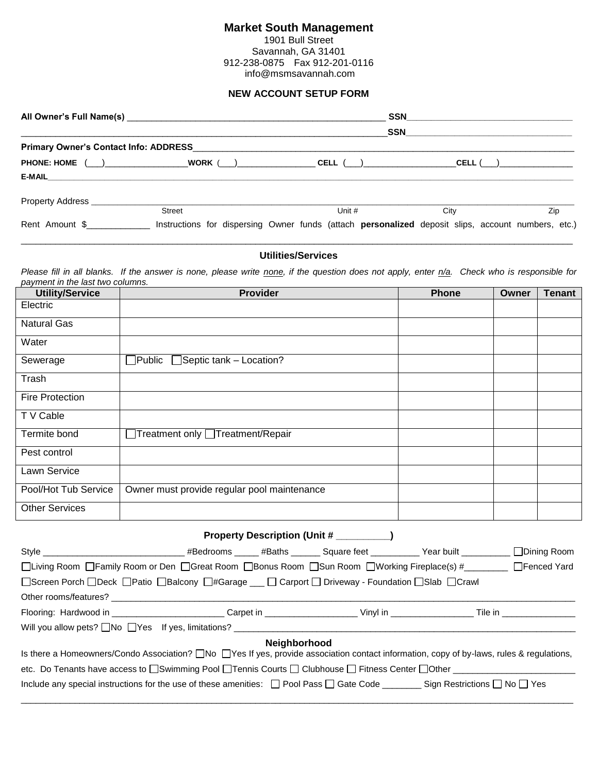## **Market South Management**

1901 Bull Street Savannah, GA 31401 912-238-0875 Fax 912-201-0116 info@msmsavannah.com

## **NEW ACCOUNT SETUP FORM**

|                              |                                       | <b>SSN</b>                                                                                         |      |     |
|------------------------------|---------------------------------------|----------------------------------------------------------------------------------------------------|------|-----|
|                              |                                       | SSN                                                                                                |      |     |
|                              | Primary Owner's Contact Info: ADDRESS |                                                                                                    |      |     |
|                              |                                       |                                                                                                    |      |     |
|                              |                                       |                                                                                                    |      |     |
|                              |                                       |                                                                                                    |      |     |
|                              | <b>Street</b>                         | Unit #                                                                                             | City | Zip |
| Rent Amount \$______________ |                                       | Instructions for dispersing Owner funds (attach personalized deposit slips, account numbers, etc.) |      |     |

## \_\_\_\_\_\_\_\_\_\_\_\_\_\_\_\_\_\_\_\_\_\_\_\_\_\_\_\_\_\_\_\_\_\_\_\_\_\_\_\_\_\_\_\_\_\_\_\_\_\_\_\_\_\_\_\_\_\_\_\_\_\_\_\_\_\_\_\_\_\_\_\_\_\_\_\_\_\_\_\_\_\_\_\_\_\_\_\_\_\_\_\_\_\_\_\_\_\_\_\_\_\_\_\_\_\_\_\_\_\_\_\_\_ **Utilities/Services**

Please fill in all blanks. If the answer is none, please write none, if the question does not apply, enter n/a. Check who is responsible for *payment in the last two columns.*

| <b>Utility/Service</b> | <b>Provider</b>                                    | Phone | Owner | <b>Tenant</b> |
|------------------------|----------------------------------------------------|-------|-------|---------------|
| Electric               |                                                    |       |       |               |
| <b>Natural Gas</b>     |                                                    |       |       |               |
| Water                  |                                                    |       |       |               |
| Sewerage               | Septic tank - Location?<br>$\exists$ Public $\Box$ |       |       |               |
| Trash                  |                                                    |       |       |               |
| <b>Fire Protection</b> |                                                    |       |       |               |
| T V Cable              |                                                    |       |       |               |
| Termite bond           | Treatment only □Treatment/Repair                   |       |       |               |
| Pest control           |                                                    |       |       |               |
| Lawn Service           |                                                    |       |       |               |
| Pool/Hot Tub Service   | Owner must provide regular pool maintenance        |       |       |               |
| <b>Other Services</b>  |                                                    |       |       |               |

| Property Description (Unit # _________)                                                                                                                                                                                        |  |  |                                                                              |  |                    |
|--------------------------------------------------------------------------------------------------------------------------------------------------------------------------------------------------------------------------------|--|--|------------------------------------------------------------------------------|--|--------------------|
|                                                                                                                                                                                                                                |  |  | _#Bedrooms ______ #Baths _______ Square feet __________ Year built _________ |  | $\Box$ Dining Room |
| □Living Room □ Family Room or Den □ Great Room □ Bonus Room □ Sun Room □ Working Fireplace(s) # □ □ Fenced Yard                                                                                                                |  |  |                                                                              |  |                    |
| □Screen Porch □Deck □Patio □Balcony □#Garage _ □ Carport □ Driveway - Foundation □Slab □Crawl                                                                                                                                  |  |  |                                                                              |  |                    |
| Other rooms/features? The contract of the contract of the contract of the contract of the contract of the contract of the contract of the contract of the contract of the contract of the contract of the contract of the cont |  |  |                                                                              |  |                    |
|                                                                                                                                                                                                                                |  |  |                                                                              |  |                    |
| Will you allow pets? $\Box$ No $\Box$ Yes If yes, limitations? $\Box$                                                                                                                                                          |  |  |                                                                              |  |                    |
| <b>Neighborhood</b><br>Is there a Homeowners/Condo Association? No Nes If yes, provide association contact information, copy of by-laws, rules & regulations,                                                                  |  |  |                                                                              |  |                    |
| etc. Do Tenants have access to □Swimming Pool □Tennis Courts □ Clubhouse □ Fitness Center □Other □                                                                                                                             |  |  |                                                                              |  |                    |
| Include any special instructions for the use of these amenities: $\Box$ Pool Pass $\Box$ Gate Code ________ Sign Restrictions $\Box$ No $\Box$ Yes                                                                             |  |  |                                                                              |  |                    |

\_\_\_\_\_\_\_\_\_\_\_\_\_\_\_\_\_\_\_\_\_\_\_\_\_\_\_\_\_\_\_\_\_\_\_\_\_\_\_\_\_\_\_\_\_\_\_\_\_\_\_\_\_\_\_\_\_\_\_\_\_\_\_\_\_\_\_\_\_\_\_\_\_\_\_\_\_\_\_\_\_\_\_\_\_\_\_\_\_\_\_\_\_\_\_\_\_\_\_\_\_\_\_\_\_\_\_\_\_\_\_\_\_